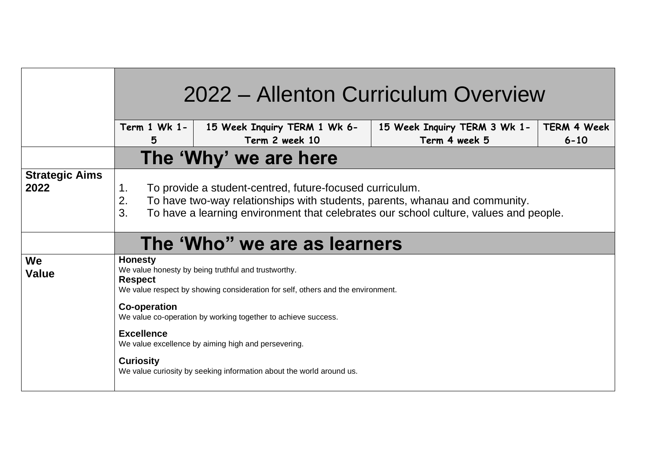|                               | 2022 – Allenton Curriculum Overview                                                                                                                                                                                                                |                                                                      |                                               |                                |
|-------------------------------|----------------------------------------------------------------------------------------------------------------------------------------------------------------------------------------------------------------------------------------------------|----------------------------------------------------------------------|-----------------------------------------------|--------------------------------|
|                               | Term 1 Wk 1-<br>5                                                                                                                                                                                                                                  | 15 Week Inquiry TERM 1 Wk 6-<br>Term 2 week 10                       | 15 Week Inquiry TERM 3 Wk 1-<br>Term 4 week 5 | <b>TERM 4 Week</b><br>$6 - 10$ |
|                               | The 'Why' we are here                                                                                                                                                                                                                              |                                                                      |                                               |                                |
| <b>Strategic Aims</b><br>2022 | To provide a student-centred, future-focused curriculum.<br>1.<br>2.<br>To have two-way relationships with students, parents, whanau and community.<br>3.<br>To have a learning environment that celebrates our school culture, values and people. |                                                                      |                                               |                                |
|                               | The 'Who" we are as learners                                                                                                                                                                                                                       |                                                                      |                                               |                                |
| We<br><b>Value</b>            | <b>Honesty</b><br>We value honesty by being truthful and trustworthy.<br><b>Respect</b><br>We value respect by showing consideration for self, others and the environment.                                                                         |                                                                      |                                               |                                |
|                               | <b>Co-operation</b><br>We value co-operation by working together to achieve success.                                                                                                                                                               |                                                                      |                                               |                                |
|                               | <b>Excellence</b>                                                                                                                                                                                                                                  | We value excellence by aiming high and persevering.                  |                                               |                                |
|                               | <b>Curiosity</b>                                                                                                                                                                                                                                   | We value curiosity by seeking information about the world around us. |                                               |                                |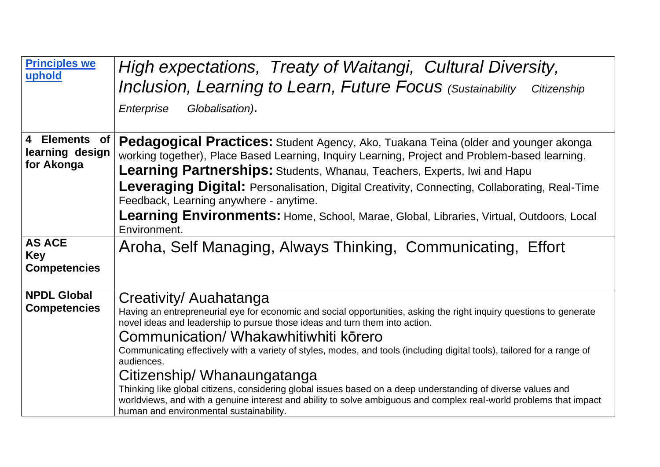| <b>Principles we</b><br>uphold                     | High expectations, Treaty of Waitangi, Cultural Diversity,<br>Inclusion, Learning to Learn, Future Focus (Sustainability Citizenship<br>Globalisation).<br>Enterprise                                                                                                                                                                                                                                                                                                                                                                                                                                                                                                                                                          |  |  |  |
|----------------------------------------------------|--------------------------------------------------------------------------------------------------------------------------------------------------------------------------------------------------------------------------------------------------------------------------------------------------------------------------------------------------------------------------------------------------------------------------------------------------------------------------------------------------------------------------------------------------------------------------------------------------------------------------------------------------------------------------------------------------------------------------------|--|--|--|
| 4 Elements of<br>learning design<br>for Akonga     | Pedagogical Practices: Student Agency, Ako, Tuakana Teina (older and younger akonga<br>working together), Place Based Learning, Inquiry Learning, Project and Problem-based learning.<br><b>Learning Partnerships:</b> Students, Whanau, Teachers, Experts, Iwi and Hapu<br><b>Leveraging Digital:</b> Personalisation, Digital Creativity, Connecting, Collaborating, Real-Time<br>Feedback, Learning anywhere - anytime.<br>Learning Environments: Home, School, Marae, Global, Libraries, Virtual, Outdoors, Local<br>Environment.                                                                                                                                                                                          |  |  |  |
| <b>AS ACE</b><br><b>Key</b><br><b>Competencies</b> | Aroha, Self Managing, Always Thinking, Communicating, Effort                                                                                                                                                                                                                                                                                                                                                                                                                                                                                                                                                                                                                                                                   |  |  |  |
| <b>NPDL Global</b><br><b>Competencies</b>          | Creativity/ Auahatanga<br>Having an entrepreneurial eye for economic and social opportunities, asking the right inquiry questions to generate<br>novel ideas and leadership to pursue those ideas and turn them into action.<br>Communication/ Whakawhitiwhiti kōrero<br>Communicating effectively with a variety of styles, modes, and tools (including digital tools), tailored for a range of<br>audiences.<br>Citizenship/ Whanaungatanga<br>Thinking like global citizens, considering global issues based on a deep understanding of diverse values and<br>worldviews, and with a genuine interest and ability to solve ambiguous and complex real-world problems that impact<br>human and environmental sustainability. |  |  |  |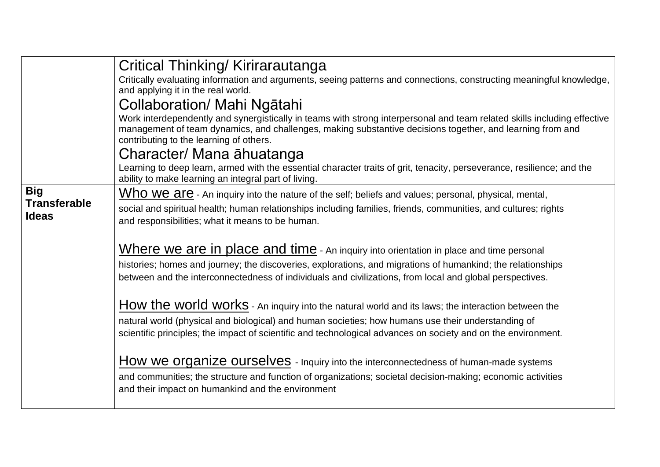|                                     | Critical Thinking/Kirirarautanga                                                                                                                                                                                                                                                 |  |  |  |
|-------------------------------------|----------------------------------------------------------------------------------------------------------------------------------------------------------------------------------------------------------------------------------------------------------------------------------|--|--|--|
|                                     | Critically evaluating information and arguments, seeing patterns and connections, constructing meaningful knowledge,                                                                                                                                                             |  |  |  |
|                                     | and applying it in the real world.                                                                                                                                                                                                                                               |  |  |  |
|                                     | Collaboration/ Mahi Ngātahi                                                                                                                                                                                                                                                      |  |  |  |
|                                     | Work interdependently and synergistically in teams with strong interpersonal and team related skills including effective<br>management of team dynamics, and challenges, making substantive decisions together, and learning from and<br>contributing to the learning of others. |  |  |  |
|                                     | Character/ Mana āhuatanga                                                                                                                                                                                                                                                        |  |  |  |
|                                     | Learning to deep learn, armed with the essential character traits of grit, tenacity, perseverance, resilience; and the<br>ability to make learning an integral part of living.                                                                                                   |  |  |  |
| <b>Big</b>                          | Who we are - An inquiry into the nature of the self; beliefs and values; personal, physical, mental,                                                                                                                                                                             |  |  |  |
| <b>Transferable</b><br><b>Ideas</b> | social and spiritual health; human relationships including families, friends, communities, and cultures; rights<br>and responsibilities; what it means to be human.                                                                                                              |  |  |  |
|                                     |                                                                                                                                                                                                                                                                                  |  |  |  |
|                                     | Where we are in place and time - An inquiry into orientation in place and time personal                                                                                                                                                                                          |  |  |  |
|                                     | histories; homes and journey; the discoveries, explorations, and migrations of humankind; the relationships                                                                                                                                                                      |  |  |  |
|                                     | between and the interconnectedness of individuals and civilizations, from local and global perspectives.                                                                                                                                                                         |  |  |  |
|                                     | How the world works - An inquiry into the natural world and its laws; the interaction between the                                                                                                                                                                                |  |  |  |
|                                     | natural world (physical and biological) and human societies; how humans use their understanding of                                                                                                                                                                               |  |  |  |
|                                     | scientific principles; the impact of scientific and technological advances on society and on the environment.                                                                                                                                                                    |  |  |  |
|                                     |                                                                                                                                                                                                                                                                                  |  |  |  |
|                                     | How we organize ourselves - Inquiry into the interconnectedness of human-made systems                                                                                                                                                                                            |  |  |  |
|                                     | and communities; the structure and function of organizations; societal decision-making; economic activities<br>and their impact on humankind and the environment                                                                                                                 |  |  |  |
|                                     |                                                                                                                                                                                                                                                                                  |  |  |  |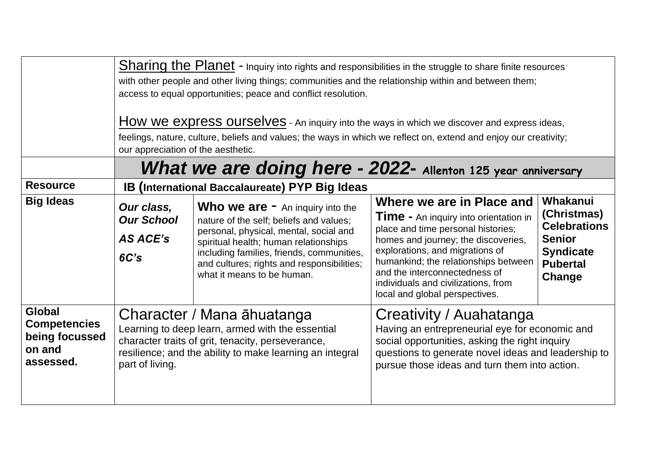|                                                                               | Sharing the Planet - Inquiry into rights and responsibilities in the struggle to share finite resources<br>with other people and other living things; communities and the relationship within and between them;<br>access to equal opportunities; peace and conflict resolution.<br>How we express ourselves - An inquiry into the ways in which we discover and express ideas,<br>feelings, nature, culture, beliefs and values; the ways in which we reflect on, extend and enjoy our creativity;<br>our appreciation of the aesthetic. |                                                                                                                                                                                                                                                                                                             |                                                                                                                                                                                                                                                                                                                                             |                                                                                                                  |
|-------------------------------------------------------------------------------|-------------------------------------------------------------------------------------------------------------------------------------------------------------------------------------------------------------------------------------------------------------------------------------------------------------------------------------------------------------------------------------------------------------------------------------------------------------------------------------------------------------------------------------------|-------------------------------------------------------------------------------------------------------------------------------------------------------------------------------------------------------------------------------------------------------------------------------------------------------------|---------------------------------------------------------------------------------------------------------------------------------------------------------------------------------------------------------------------------------------------------------------------------------------------------------------------------------------------|------------------------------------------------------------------------------------------------------------------|
| <b>Resource</b>                                                               | What we are doing here - 2022- Allenton 125 year anniversary<br><b>IB (International Baccalaureate) PYP Big Ideas</b>                                                                                                                                                                                                                                                                                                                                                                                                                     |                                                                                                                                                                                                                                                                                                             |                                                                                                                                                                                                                                                                                                                                             |                                                                                                                  |
| <b>Big Ideas</b>                                                              | Our class,<br><b>Our School</b><br>AS ACE's<br>6C's                                                                                                                                                                                                                                                                                                                                                                                                                                                                                       | <b>Who we are <math>-</math></b> An inquiry into the<br>nature of the self; beliefs and values;<br>personal, physical, mental, social and<br>spiritual health; human relationships<br>including families, friends, communities,<br>and cultures; rights and responsibilities;<br>what it means to be human. | Where we are in Place and<br><b>Time -</b> An inquiry into orientation in<br>place and time personal histories;<br>homes and journey; the discoveries,<br>explorations, and migrations of<br>humankind; the relationships between<br>and the interconnectedness of<br>individuals and civilizations, from<br>local and global perspectives. | Whakanui<br>(Christmas)<br><b>Celebrations</b><br><b>Senior</b><br><b>Syndicate</b><br><b>Pubertal</b><br>Change |
| <b>Global</b><br><b>Competencies</b><br>being focussed<br>on and<br>assessed. | Character / Mana āhuatanga<br>Learning to deep learn, armed with the essential<br>character traits of grit, tenacity, perseverance,<br>resilience; and the ability to make learning an integral<br>part of living.                                                                                                                                                                                                                                                                                                                        |                                                                                                                                                                                                                                                                                                             | Creativity / Auahatanga<br>Having an entrepreneurial eye for economic and<br>social opportunities, asking the right inquiry<br>questions to generate novel ideas and leadership to<br>pursue those ideas and turn them into action.                                                                                                         |                                                                                                                  |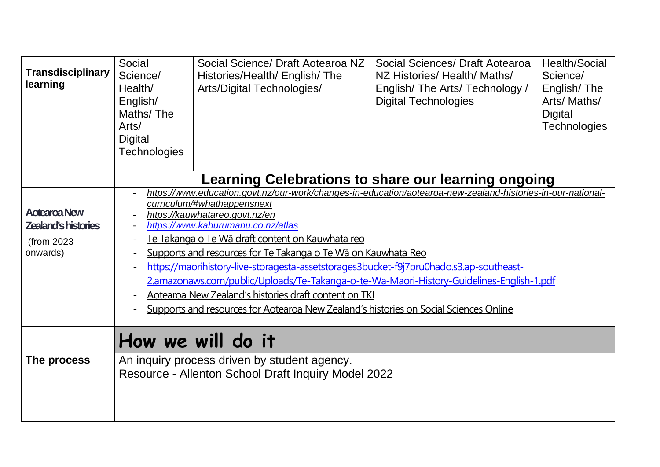| <b>Transdisciplinary</b><br>learning                                        | Social<br>Science/<br>Health/<br>English/<br>Maths/The<br>Arts/<br>Digital<br><b>Technologies</b>                                                                                                                                                                                                                                                                                                                                                                                                                                                                                                                                                                                                            | Social Science/ Draft Aotearoa NZ<br>Histories/Health/ English/ The<br>Arts/Digital Technologies/   | Social Sciences/ Draft Aotearoa<br>NZ Histories/ Health/ Maths/<br>English/The Arts/Technology /<br><b>Digital Technologies</b> | <b>Health/Social</b><br>Science/<br>English/The<br>Arts/Maths/<br><b>Digital</b><br><b>Technologies</b> |
|-----------------------------------------------------------------------------|--------------------------------------------------------------------------------------------------------------------------------------------------------------------------------------------------------------------------------------------------------------------------------------------------------------------------------------------------------------------------------------------------------------------------------------------------------------------------------------------------------------------------------------------------------------------------------------------------------------------------------------------------------------------------------------------------------------|-----------------------------------------------------------------------------------------------------|---------------------------------------------------------------------------------------------------------------------------------|---------------------------------------------------------------------------------------------------------|
|                                                                             | <b>Learning Celebrations to share our learning ongoing</b>                                                                                                                                                                                                                                                                                                                                                                                                                                                                                                                                                                                                                                                   |                                                                                                     |                                                                                                                                 |                                                                                                         |
| <b>Aotearoa New</b><br><b>Zealand's histories</b><br>(from 2023<br>onwards) | https://www.education.govt.nz/our-work/changes-in-education/aotearoa-new-zealand-histories-in-our-national-<br>curriculum/#whathappensnext<br>https://kauwhatareo.govt.nz/en<br>https://www.kahurumanu.co.nz/atlas<br>Te Takanga o Te Wā draft content on Kauwhata reo<br>$\overline{\phantom{0}}$<br>Supports and resources for Te Takanga o Te Wa on Kauwhata Reo<br>https://maorihistory-live-storagesta-assetstorages3bucket-f9j7pru0hado.s3.ap-southeast-<br>2.amazonaws.com/public/Uploads/Te-Takanga-o-te-Wa-Maori-History-Guidelines-English-1.pdf<br>Aotearoa New Zealand's histories draft content on TKI<br>Supports and resources for Aotearoa New Zealand's histories on Social Sciences Online |                                                                                                     |                                                                                                                                 |                                                                                                         |
|                                                                             |                                                                                                                                                                                                                                                                                                                                                                                                                                                                                                                                                                                                                                                                                                              | How we will do it                                                                                   |                                                                                                                                 |                                                                                                         |
| The process                                                                 |                                                                                                                                                                                                                                                                                                                                                                                                                                                                                                                                                                                                                                                                                                              | An inquiry process driven by student agency.<br>Resource - Allenton School Draft Inquiry Model 2022 |                                                                                                                                 |                                                                                                         |